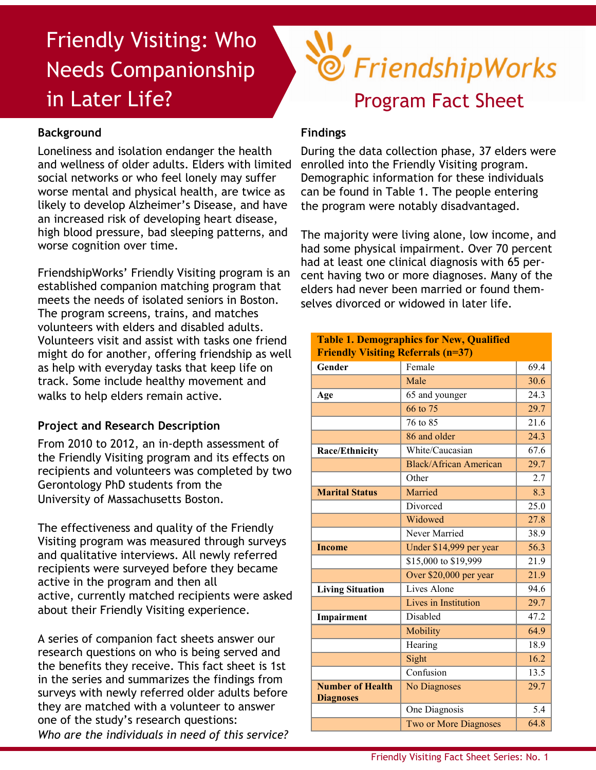# Friendly Visiting: Who Needs Companionship in Later Life?

# **Background**

Loneliness and isolation endanger the health and wellness of older adults. Elders with limited social networks or who feel lonely may suffer worse mental and physical health, are twice as likely to develop Alzheimer's Disease, and have an increased risk of developing heart disease, high blood pressure, bad sleeping patterns, and worse cognition over time.

FriendshipWorks' Friendly Visiting program is an established companion matching program that meets the needs of isolated seniors in Boston. The program screens, trains, and matches volunteers with elders and disabled adults. Volunteers visit and assist with tasks one friend might do for another, offering friendship as well as help with everyday tasks that keep life on track. Some include healthy movement and walks to help elders remain active.

### **Project and Research Description**

From 2010 to 2012, an in-depth assessment of the Friendly Visiting program and its effects on recipients and volunteers was completed by two Gerontology PhD students from the University of Massachusetts Boston.

The effectiveness and quality of the Friendly Visiting program was measured through surveys and qualitative interviews. All newly referred recipients were surveyed before they became active in the program and then all active, currently matched recipients were asked about their Friendly Visiting experience.

A series of companion fact sheets answer our research questions on who is being served and the benefits they receive. This fact sheet is 1st in the series and summarizes the findings from surveys with newly referred older adults before they are matched with a volunteer to answer one of the study's research questions: *Who are the individuals in need of this service?*

# TriendshipWorks Program Fact Sheet

## **Findings**

During the data collection phase, 37 elders were enrolled into the Friendly Visiting program. Demographic information for these individuals can be found in Table 1. The people entering the program were notably disadvantaged.

The majority were living alone, low income, and had some physical impairment. Over 70 percent had at least one clinical diagnosis with 65 percent having two or more diagnoses. Many of the elders had never been married or found themselves divorced or widowed in later life.

| <b>Table 1. Demographics for New, Qualified</b><br><b>Friendly Visiting Referrals (n=37)</b> |                               |      |
|----------------------------------------------------------------------------------------------|-------------------------------|------|
| Gender                                                                                       | Female                        | 69.4 |
|                                                                                              | Male                          | 30.6 |
| Age                                                                                          | 65 and younger                | 24.3 |
|                                                                                              | 66 to 75                      | 29.7 |
|                                                                                              | 76 to 85                      | 21.6 |
|                                                                                              | 86 and older                  | 24.3 |
| <b>Race/Ethnicity</b>                                                                        | White/Caucasian               | 67.6 |
|                                                                                              | <b>Black/African American</b> | 29.7 |
|                                                                                              | Other                         | 2.7  |
| <b>Marital Status</b>                                                                        | Married                       | 8.3  |
|                                                                                              | Divorced                      | 25.0 |
|                                                                                              | Widowed                       | 27.8 |
|                                                                                              | Never Married                 | 38.9 |
| <b>Income</b>                                                                                | Under \$14,999 per year       | 56.3 |
|                                                                                              | \$15,000 to \$19,999          | 21.9 |
|                                                                                              | Over \$20,000 per year        | 21.9 |
| <b>Living Situation</b>                                                                      | Lives Alone                   | 94.6 |
|                                                                                              | Lives in Institution          | 29.7 |
| Impairment                                                                                   | <b>Disabled</b>               | 47.2 |
|                                                                                              | Mobility                      | 64.9 |
|                                                                                              | Hearing                       | 18.9 |
|                                                                                              | Sight                         | 16.2 |
|                                                                                              | Confusion                     | 13.5 |
| <b>Number of Health</b><br><b>Diagnoses</b>                                                  | <b>No Diagnoses</b>           | 29.7 |
|                                                                                              | One Diagnosis                 | 5.4  |
|                                                                                              | Two or More Diagnoses         | 64.8 |